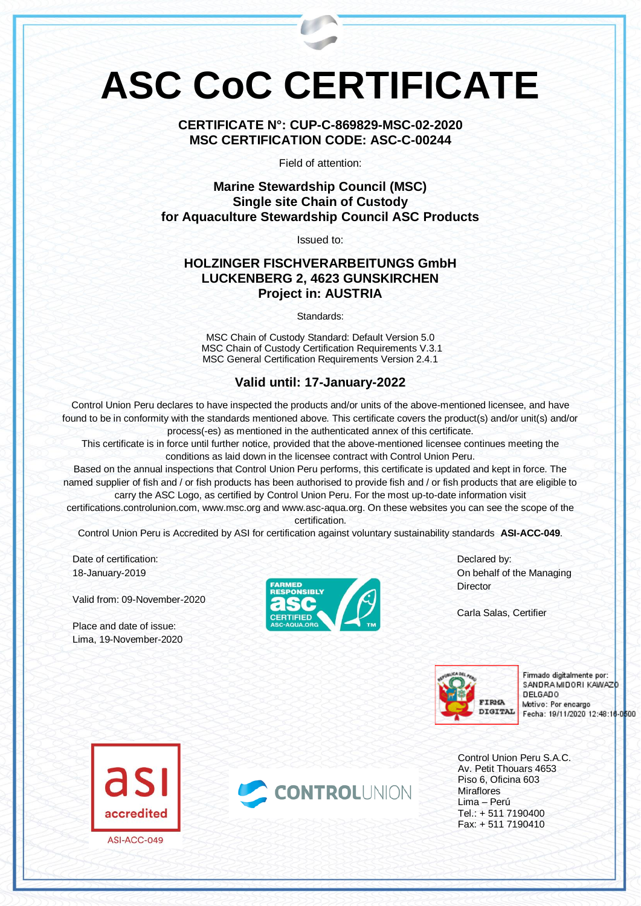# **ASC CoC CERTIFICATE**

**CERTIFICATE N°: CUP-C-869829-MSC-02-2020 MSC CERTIFICATION CODE: ASC-C-00244**

Field of attention:

**Marine Stewardship Council (MSC) Single site Chain of Custody for Aquaculture Stewardship Council ASC Products**

Issued to:

## **HOLZINGER FISCHVERARBEITUNGS GmbH LUCKENBERG 2, 4623 GUNSKIRCHEN Project in: AUSTRIA**

Standards:

MSC Chain of Custody Standard: Default Version 5.0 MSC Chain of Custody Certification Requirements V.3.1 MSC General Certification Requirements Version 2.4.1

## **Valid until: 17-January-2022**

Control Union Peru declares to have inspected the products and/or units of the above-mentioned licensee, and have found to be in conformity with the standards mentioned above. This certificate covers the product(s) and/or unit(s) and/or process(-es) as mentioned in the authenticated annex of this certificate.

This certificate is in force until further notice, provided that the above-mentioned licensee continues meeting the conditions as laid down in the licensee contract with Control Union Peru.

Based on the annual inspections that Control Union Peru performs, this certificate is updated and kept in force. The named supplier of fish and / or fish products has been authorised to provide fish and / or fish products that are eligible to carry the ASC Logo, as certified by Control Union Peru. For the most up-to-date information visit

certifications.controlunion.com, www.msc.org and www.asc-aqua.org. On these websites you can see the scope of the certification.

Control Union Peru is Accredited by ASI for certification against voluntary sustainability standards **ASI-ACC-049**.

Date of certification: 18-January-2019

Valid from: 09-November-2020

Place and date of issue: Lima, 19-November-2020



Declared by: On behalf of the Managing **Director** 

Carla Salas, Certifier



Firmado digitalmente por: SANDRA MIDORI KAWAZD **DELGADO** Motivo: Por encargo Fecha: 19/11/2020 12:48:16-0500

Control Union Peru S.A.C. Av. Petit Thouars 4653 Piso 6, Oficina 603 Miraflores Lima – Perú Tel.: + 511 7190400 Fax: + 511 7190410



ASI-ACC-049

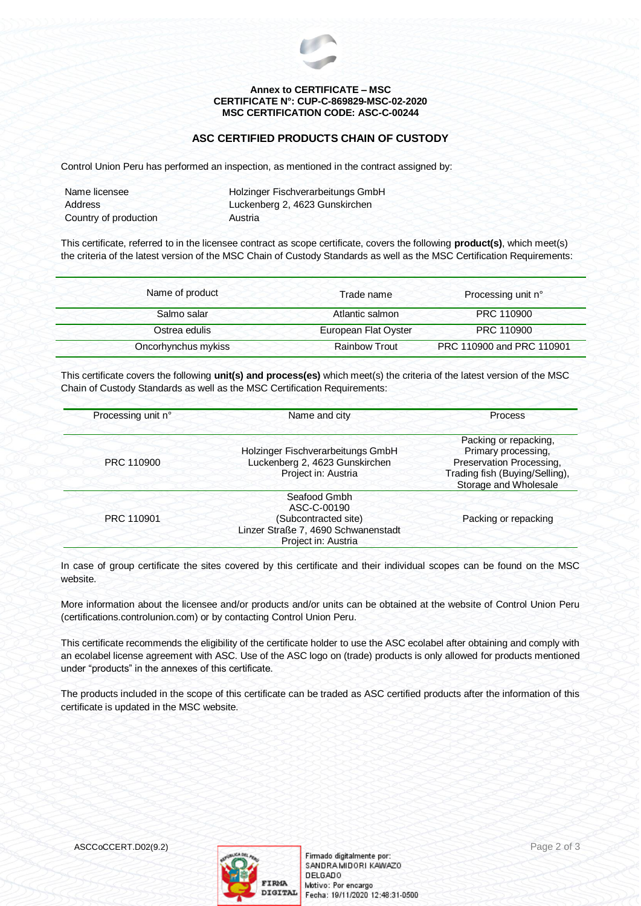

#### **Annex to CERTIFICATE – MSC CERTIFICATE N°: CUP-C-869829-MSC-02-2020 MSC CERTIFICATION CODE: ASC-C-00244**

### **ASC CERTIFIED PRODUCTS CHAIN OF CUSTODY**

Control Union Peru has performed an inspection, as mentioned in the contract assigned by:

| Name licensee         | Holzinger Fischverarbeitungs GmbH |  |
|-----------------------|-----------------------------------|--|
| Address               | Luckenberg 2, 4623 Gunskirchen    |  |
| Country of production | Austria                           |  |

This certificate, referred to in the licensee contract as scope certificate, covers the following **product(s)**, which meet(s) the criteria of the latest version of the MSC Chain of Custody Standards as well as the MSC Certification Requirements:

| Trade name           | Processing unit n°        |
|----------------------|---------------------------|
| Atlantic salmon      | PRC 110900                |
| European Flat Oyster | PRC 110900                |
| <b>Rainbow Trout</b> | PRC 110900 and PRC 110901 |
|                      |                           |

This certificate covers the following **unit(s) and process(es)** which meet(s) the criteria of the latest version of the MSC Chain of Custody Standards as well as the MSC Certification Requirements:

| Processing unit n° | Name and city                                                                                                     | <b>Process</b>                                                                                                                      |
|--------------------|-------------------------------------------------------------------------------------------------------------------|-------------------------------------------------------------------------------------------------------------------------------------|
| PRC 110900         | Holzinger Fischverarbeitungs GmbH<br>Luckenberg 2, 4623 Gunskirchen<br>Project in: Austria                        | Packing or repacking,<br>Primary processing,<br>Preservation Processing,<br>Trading fish (Buying/Selling),<br>Storage and Wholesale |
| PRC 110901         | Seafood Gmbh<br>ASC-C-00190<br>(Subcontracted site)<br>Linzer Straße 7, 4690 Schwanenstadt<br>Project in: Austria | Packing or repacking                                                                                                                |

In case of group certificate the sites covered by this certificate and their individual scopes can be found on the MSC website.

More information about the licensee and/or products and/or units can be obtained at the website of Control Union Peru (certifications.controlunion.com) or by contacting Control Union Peru.

This certificate recommends the eligibility of the certificate holder to use the ASC ecolabel after obtaining and comply with an ecolabel license agreement with ASC. Use of the ASC logo on (trade) products is only allowed for products mentioned under "products" in the annexes of this certificate.

The products included in the scope of this certificate can be traded as ASC certified products after the information of this certificate is updated in the MSC website.